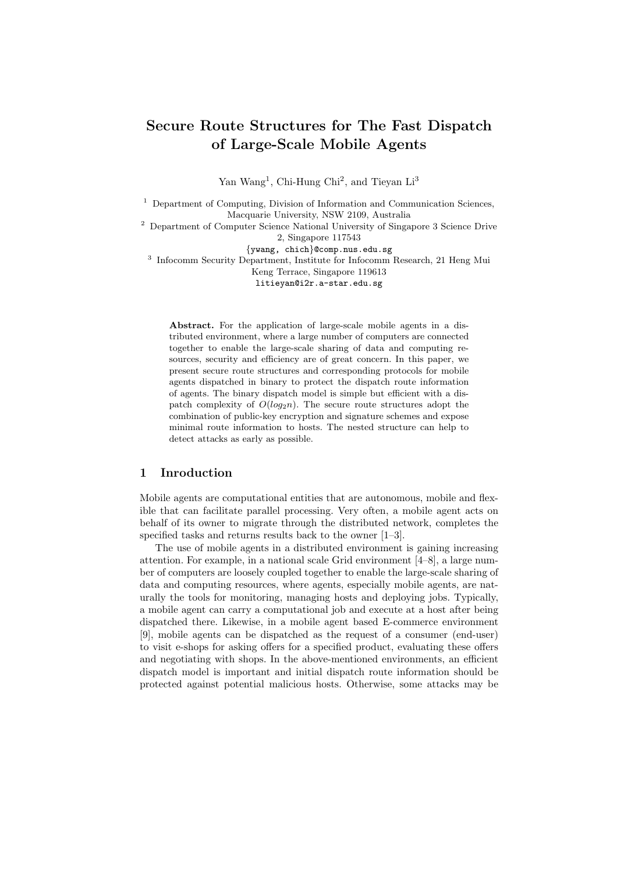# Secure Route Structures for The Fast Dispatch of Large-Scale Mobile Agents

Yan Wang<sup>1</sup>, Chi-Hung Chi<sup>2</sup>, and Tieyan Li<sup>3</sup>

<sup>1</sup> Department of Computing, Division of Information and Communication Sciences, Macquarie University, NSW 2109, Australia

<sup>2</sup> Department of Computer Science National University of Singapore 3 Science Drive 2, Singapore 117543

{ywang, chich}@comp.nus.edu.sg

3 Infocomm Security Department, Institute for Infocomm Research, 21 Heng Mui

Keng Terrace, Singapore 119613

litieyan@i2r.a-star.edu.sg

Abstract. For the application of large-scale mobile agents in a distributed environment, where a large number of computers are connected together to enable the large-scale sharing of data and computing resources, security and efficiency are of great concern. In this paper, we present secure route structures and corresponding protocols for mobile agents dispatched in binary to protect the dispatch route information of agents. The binary dispatch model is simple but efficient with a dispatch complexity of  $O(log_2n)$ . The secure route structures adopt the combination of public-key encryption and signature schemes and expose minimal route information to hosts. The nested structure can help to detect attacks as early as possible.

# 1 Inroduction

Mobile agents are computational entities that are autonomous, mobile and flexible that can facilitate parallel processing. Very often, a mobile agent acts on behalf of its owner to migrate through the distributed network, completes the specified tasks and returns results back to the owner [1–3].

The use of mobile agents in a distributed environment is gaining increasing attention. For example, in a national scale Grid environment [4–8], a large number of computers are loosely coupled together to enable the large-scale sharing of data and computing resources, where agents, especially mobile agents, are naturally the tools for monitoring, managing hosts and deploying jobs. Typically, a mobile agent can carry a computational job and execute at a host after being dispatched there. Likewise, in a mobile agent based E-commerce environment [9], mobile agents can be dispatched as the request of a consumer (end-user) to visit e-shops for asking offers for a specified product, evaluating these offers and negotiating with shops. In the above-mentioned environments, an efficient dispatch model is important and initial dispatch route information should be protected against potential malicious hosts. Otherwise, some attacks may be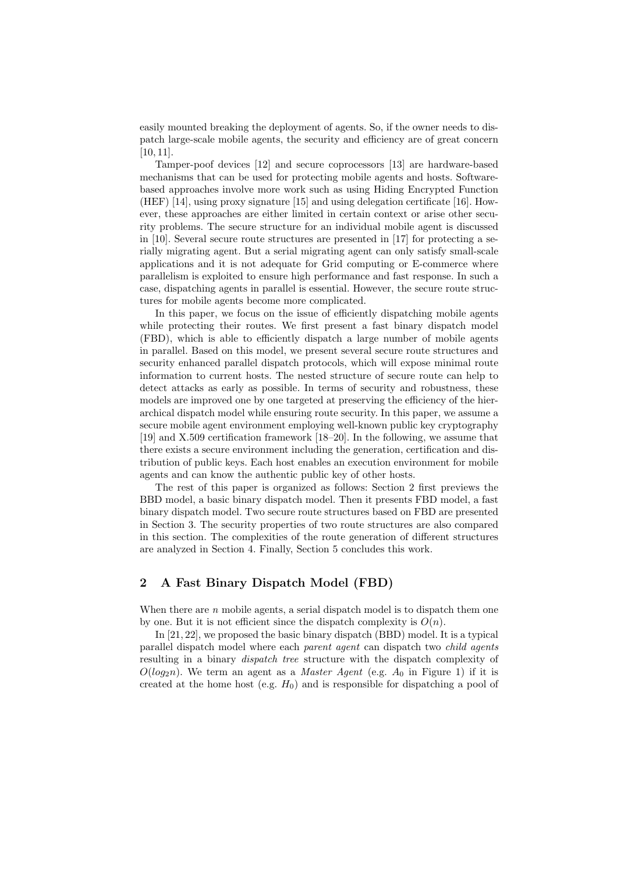easily mounted breaking the deployment of agents. So, if the owner needs to dispatch large-scale mobile agents, the security and efficiency are of great concern [10, 11].

Tamper-poof devices [12] and secure coprocessors [13] are hardware-based mechanisms that can be used for protecting mobile agents and hosts. Softwarebased approaches involve more work such as using Hiding Encrypted Function (HEF) [14], using proxy signature [15] and using delegation certificate [16]. However, these approaches are either limited in certain context or arise other security problems. The secure structure for an individual mobile agent is discussed in [10]. Several secure route structures are presented in [17] for protecting a serially migrating agent. But a serial migrating agent can only satisfy small-scale applications and it is not adequate for Grid computing or E-commerce where parallelism is exploited to ensure high performance and fast response. In such a case, dispatching agents in parallel is essential. However, the secure route structures for mobile agents become more complicated.

In this paper, we focus on the issue of efficiently dispatching mobile agents while protecting their routes. We first present a fast binary dispatch model (FBD), which is able to efficiently dispatch a large number of mobile agents in parallel. Based on this model, we present several secure route structures and security enhanced parallel dispatch protocols, which will expose minimal route information to current hosts. The nested structure of secure route can help to detect attacks as early as possible. In terms of security and robustness, these models are improved one by one targeted at preserving the efficiency of the hierarchical dispatch model while ensuring route security. In this paper, we assume a secure mobile agent environment employing well-known public key cryptography [19] and X.509 certification framework [18–20]. In the following, we assume that there exists a secure environment including the generation, certification and distribution of public keys. Each host enables an execution environment for mobile agents and can know the authentic public key of other hosts.

The rest of this paper is organized as follows: Section 2 first previews the BBD model, a basic binary dispatch model. Then it presents FBD model, a fast binary dispatch model. Two secure route structures based on FBD are presented in Section 3. The security properties of two route structures are also compared in this section. The complexities of the route generation of different structures are analyzed in Section 4. Finally, Section 5 concludes this work.

# 2 A Fast Binary Dispatch Model (FBD)

When there are  $n$  mobile agents, a serial dispatch model is to dispatch them one by one. But it is not efficient since the dispatch complexity is  $O(n)$ .

In [21, 22], we proposed the basic binary dispatch (BBD) model. It is a typical parallel dispatch model where each parent agent can dispatch two child agents resulting in a binary dispatch tree structure with the dispatch complexity of  $O(log_2n)$ . We term an agent as a *Master Agent* (e.g.  $A_0$  in Figure 1) if it is created at the home host (e.g.  $H_0$ ) and is responsible for dispatching a pool of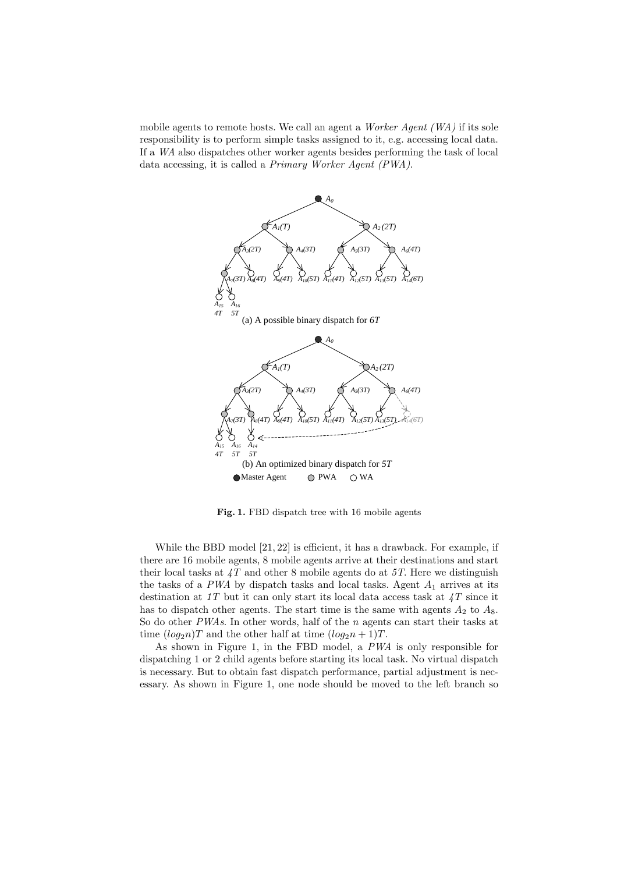mobile agents to remote hosts. We call an agent a *Worker Agent (WA)* if its sole responsibility is to perform simple tasks assigned to it, e.g. accessing local data. If a WA also dispatches other worker agents besides performing the task of local data accessing, it is called a Primary Worker Agent (PWA).



Fig. 1. FBD dispatch tree with 16 mobile agents

While the BBD model [21, 22] is efficient, it has a drawback. For example, if there are 16 mobile agents, 8 mobile agents arrive at their destinations and start their local tasks at  $\angle T$  and other 8 mobile agents do at 5T. Here we distinguish the tasks of a  $PWA$  by dispatch tasks and local tasks. Agent  $A_1$  arrives at its destination at  $1T$  but it can only start its local data access task at  $4T$  since it has to dispatch other agents. The start time is the same with agents  $A_2$  to  $A_8$ . So do other PWAs. In other words, half of the n agents can start their tasks at time  $(log_{2}n)T$  and the other half at time  $(log_{2}n + 1)T$ .

As shown in Figure 1, in the FBD model, a PWA is only responsible for dispatching 1 or 2 child agents before starting its local task. No virtual dispatch is necessary. But to obtain fast dispatch performance, partial adjustment is necessary. As shown in Figure 1, one node should be moved to the left branch so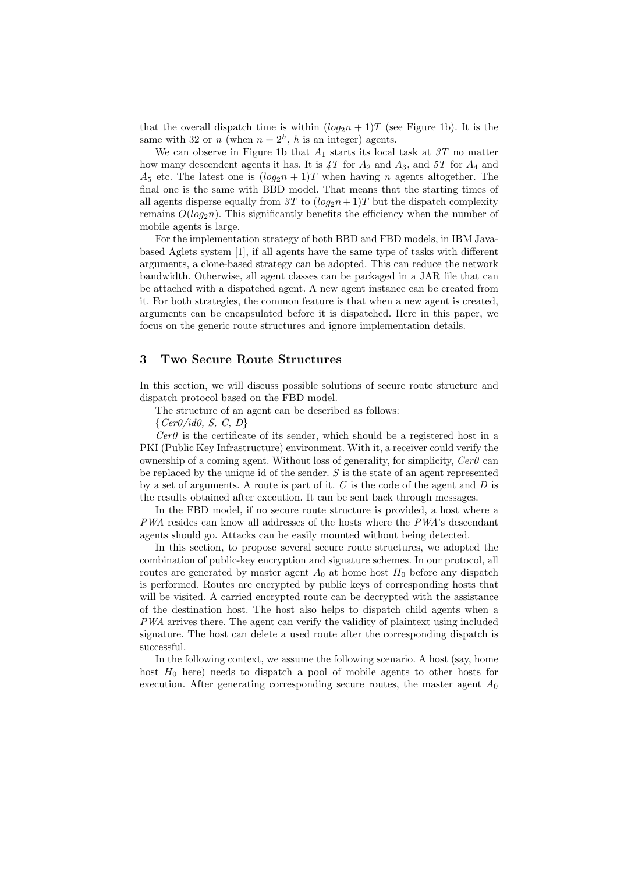that the overall dispatch time is within  $(log_2 n + 1)T$  (see Figure 1b). It is the same with 32 or *n* (when  $n = 2<sup>h</sup>$ , *h* is an integer) agents.

We can observe in Figure 1b that  $A_1$  starts its local task at 3T no matter how many descendent agents it has. It is  $4T$  for  $A_2$  and  $A_3$ , and  $5T$  for  $A_4$  and  $A_5$  etc. The latest one is  $(log_{2}n + 1)T$  when having n agents altogether. The final one is the same with BBD model. That means that the starting times of all agents disperse equally from  $3T$  to  $(log_2 n + 1)T$  but the dispatch complexity remains  $O(log<sub>2</sub>n)$ . This significantly benefits the efficiency when the number of mobile agents is large.

For the implementation strategy of both BBD and FBD models, in IBM Javabased Aglets system [1], if all agents have the same type of tasks with different arguments, a clone-based strategy can be adopted. This can reduce the network bandwidth. Otherwise, all agent classes can be packaged in a JAR file that can be attached with a dispatched agent. A new agent instance can be created from it. For both strategies, the common feature is that when a new agent is created, arguments can be encapsulated before it is dispatched. Here in this paper, we focus on the generic route structures and ignore implementation details.

#### 3 Two Secure Route Structures

In this section, we will discuss possible solutions of secure route structure and dispatch protocol based on the FBD model.

The structure of an agent can be described as follows:

 ${Cer0/id0, S, C, D}$ 

 $Cer\theta$  is the certificate of its sender, which should be a registered host in a PKI (Public Key Infrastructure) environment. With it, a receiver could verify the ownership of a coming agent. Without loss of generality, for simplicity,  $Cer\theta$  can be replaced by the unique id of the sender.  $S$  is the state of an agent represented by a set of arguments. A route is part of it. C is the code of the agent and  $D$  is the results obtained after execution. It can be sent back through messages.

In the FBD model, if no secure route structure is provided, a host where a PWA resides can know all addresses of the hosts where the PWA's descendant agents should go. Attacks can be easily mounted without being detected.

In this section, to propose several secure route structures, we adopted the combination of public-key encryption and signature schemes. In our protocol, all routes are generated by master agent  $A_0$  at home host  $H_0$  before any dispatch is performed. Routes are encrypted by public keys of corresponding hosts that will be visited. A carried encrypted route can be decrypted with the assistance of the destination host. The host also helps to dispatch child agents when a PWA arrives there. The agent can verify the validity of plaintext using included signature. The host can delete a used route after the corresponding dispatch is successful.

In the following context, we assume the following scenario. A host (say, home host  $H_0$  here) needs to dispatch a pool of mobile agents to other hosts for execution. After generating corresponding secure routes, the master agent  $A_0$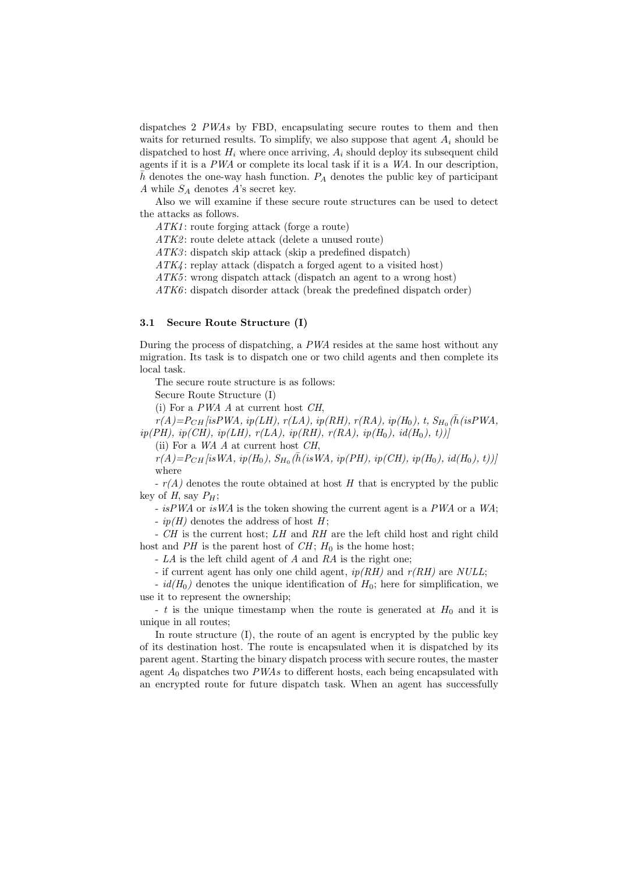dispatches 2 PWAs by FBD, encapsulating secure routes to them and then waits for returned results. To simplify, we also suppose that agent  $A_i$  should be dispatched to host  $H_i$  where once arriving,  $A_i$  should deploy its subsequent child agents if it is a PWA or complete its local task if it is a WA. In our description,  $h$  denotes the one-way hash function.  $P_A$  denotes the public key of participant A while  $S_A$  denotes A's secret key.

Also we will examine if these secure route structures can be used to detect the attacks as follows.

 $ATK1$ : route forging attack (forge a route)

 $ATK2$ : route delete attack (delete a unused route)

 $ATK3$ : dispatch skip attack (skip a predefined dispatch)

 $ATK4$ : replay attack (dispatch a forged agent to a visited host)

 $ATK5$ : wrong dispatch attack (dispatch an agent to a wrong host)

 $ATK6$ : dispatch disorder attack (break the predefined dispatch order)

#### 3.1 Secure Route Structure (I)

During the process of dispatching, a PWA resides at the same host without any migration. Its task is to dispatch one or two child agents and then complete its local task.

The secure route structure is as follows:

Secure Route Structure (I)

(i) For a PWA A at current host CH,

 $r(A)=P_{CH}$ [isPWA, ip(LH),  $r(LA)$ , ip(RH),  $r(RA)$ , ip(H<sub>0</sub>), t,  $S_{H_0}(\bar{h}(i s PWA,$  $ip(PH), ip(CH), ip(LH), r(LA), ip(RH), r(RA), ip(H_0), id(H_0), t))$ 

(ii) For a WA A at current host CH,

 $\bar{r}(A) = P_{CH} [is WA, ip(H_0), S_{H_0} (\bar{h} (is WA, ip(PH), ip(CH), ip(H_0), id(H_0), t))]$ where

 $- r(A)$  denotes the route obtained at host H that is encrypted by the public key of H, say  $P_H$ ;

 $-$  isPWA or isWA is the token showing the current agent is a PWA or a WA;

-  $ip(H)$  denotes the address of host  $H$ ;

- CH is the current host; LH and RH are the left child host and right child host and PH is the parent host of  $CH$ ;  $H_0$  is the home host;

- LA is the left child agent of A and RA is the right one;

- if current agent has only one child agent,  $ip(RH)$  and  $r(RH)$  are NULL;

-  $id(H_0)$  denotes the unique identification of  $H_0$ ; here for simplification, we use it to represent the ownership;

- t is the unique timestamp when the route is generated at  $H_0$  and it is unique in all routes;

In route structure (I), the route of an agent is encrypted by the public key of its destination host. The route is encapsulated when it is dispatched by its parent agent. Starting the binary dispatch process with secure routes, the master agent  $A_0$  dispatches two PWAs to different hosts, each being encapsulated with an encrypted route for future dispatch task. When an agent has successfully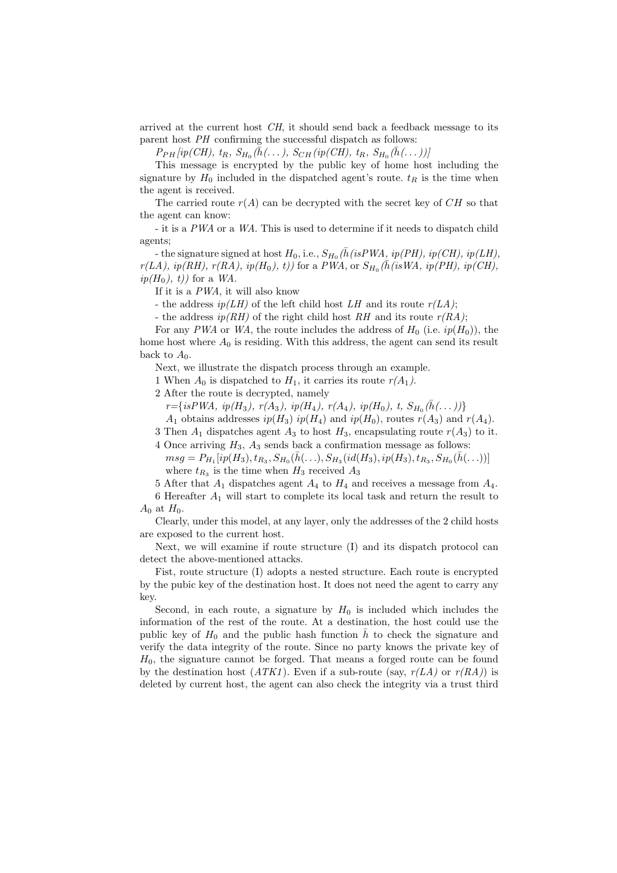arrived at the current host CH, it should send back a feedback message to its parent host PH confirming the successful dispatch as follows:

 $P_{PH}[ip(CH),~t_R,~S_{H_0}(\bar{\bar{h}}(\dots),~S_{CH}(ip(CH),~t_R,~S_{H_0}(\bar{h}(\dots)))]$ 

This message is encrypted by the public key of home host including the signature by  $H_0$  included in the dispatched agent's route.  $t_R$  is the time when the agent is received.

The carried route  $r(A)$  can be decrypted with the secret key of  $CH$  so that the agent can know:

- it is a PWA or a WA. This is used to determine if it needs to dispatch child agents;

- the signature signed at host  $H_0$ , i.e.,  $S_{H_0}(\bar{h}(isPWA, ip(PH), ip(CH), ip(LH),$  $r(LA)$ ,  $ip(RH)$ ,  $r(R\overline{A})$ ,  $ip(H_0)$ , t)) for a PWA, or  $S_{H_0}(\overline{h}(isWA, ip(PH), ip(CH))$ ,  $ip(H_0), t)$  for a WA.

If it is a PWA, it will also know

- the address  $ip(LH)$  of the left child host  $LH$  and its route  $r(LA)$ ;

- the address  $ip(RH)$  of the right child host RH and its route  $r(RA)$ ;

For any PWA or WA, the route includes the address of  $H_0$  (i.e.  $ip(H_0)$ ), the home host where  $A_0$  is residing. With this address, the agent can send its result back to  $A_0$ .

Next, we illustrate the dispatch process through an example.

1 When  $A_0$  is dispatched to  $H_1$ , it carries its route  $r(A_1)$ .

2 After the route is decrypted, namely

 $r = {isPWA, ip(H_3), r(A_3), ip(H_4), r(A_4), ip(H_0), t, S_{H_0}(\bar{h}(\dots))}$ 

 $A_1$  obtains addresses  $ip(H_3)$   $ip(H_4)$  and  $ip(H_0)$ , routes  $r(A_3)$  and  $r(A_4)$ .

3 Then  $A_1$  dispatches agent  $A_3$  to host  $H_3$ , encapsulating route  $r(A_3)$  to it.

4 Once arriving  $H_3$ ,  $A_3$  sends back a confirmation message as follows:  $msg = P_{H_1}[ip(H_3), t_{R_3}, S_{H_0}(\bar{h}(\ldots), S_{H_3}(id(H_3), ip(H_3), t_{R_3}, S_{H_0}(\bar{h}(\ldots)))]$ 

where  $t_{R_3}$  is the time when  $H_3$  received  $A_3$ 

5 After that  $A_1$  dispatches agent  $A_4$  to  $H_4$  and receives a message from  $A_4$ .

6 Hereafter  $A_1$  will start to complete its local task and return the result to  $A_0$  at  $H_0$ .

Clearly, under this model, at any layer, only the addresses of the 2 child hosts are exposed to the current host.

Next, we will examine if route structure (I) and its dispatch protocol can detect the above-mentioned attacks.

Fist, route structure (I) adopts a nested structure. Each route is encrypted by the pubic key of the destination host. It does not need the agent to carry any key.

Second, in each route, a signature by  $H_0$  is included which includes the information of the rest of the route. At a destination, the host could use the public key of  $H_0$  and the public hash function  $\bar{h}$  to check the signature and verify the data integrity of the route. Since no party knows the private key of  $H_0$ , the signature cannot be forged. That means a forged route can be found by the destination host  $(ATK1)$ . Even if a sub-route (say,  $r(LA)$  or  $r(RA)$ ) is deleted by current host, the agent can also check the integrity via a trust third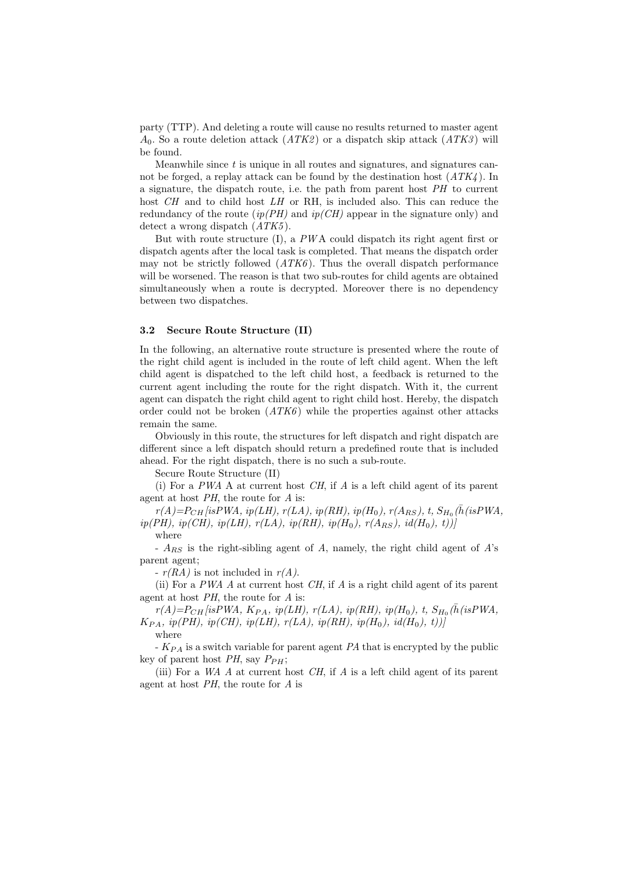party (TTP). And deleting a route will cause no results returned to master agent  $A_0$ . So a route deletion attack  $(ATK2)$  or a dispatch skip attack  $(ATK3)$  will be found.

Meanwhile since  $t$  is unique in all routes and signatures, and signatures cannot be forged, a replay attack can be found by the destination host  $(ATK4)$ . In a signature, the dispatch route, i.e. the path from parent host PH to current host CH and to child host LH or RH, is included also. This can reduce the redundancy of the route  $(ip(PH)$  and  $ip(CH)$  appear in the signature only) and detect a wrong dispatch  $(ATK5)$ .

But with route structure  $(I)$ , a PWA could dispatch its right agent first or dispatch agents after the local task is completed. That means the dispatch order may not be strictly followed  $(ATK6)$ . Thus the overall dispatch performance will be worsened. The reason is that two sub-routes for child agents are obtained simultaneously when a route is decrypted. Moreover there is no dependency between two dispatches.

#### 3.2 Secure Route Structure (II)

In the following, an alternative route structure is presented where the route of the right child agent is included in the route of left child agent. When the left child agent is dispatched to the left child host, a feedback is returned to the current agent including the route for the right dispatch. With it, the current agent can dispatch the right child agent to right child host. Hereby, the dispatch order could not be broken  $(ATK6)$  while the properties against other attacks remain the same.

Obviously in this route, the structures for left dispatch and right dispatch are different since a left dispatch should return a predefined route that is included ahead. For the right dispatch, there is no such a sub-route.

Secure Route Structure (II)

(i) For a PWA A at current host CH, if A is a left child agent of its parent agent at host PH, the route for A is:

 $r(A)=P_{CH}$ [isPWA, ip(LH),  $r(LA)$ , ip(RH), ip(H<sub>0</sub>),  $r(A_{RS})$ , t,  $S_{H_0}(\bar{h}(i s PWA,$  $ip(PH), ip(CH), ip(LH), r(LA), ip(RH), ip(H_0), r(A_{RS}), id(H_0), t))$ 

where

-  $A_{RS}$  is the right-sibling agent of A, namely, the right child agent of  $A$ 's parent agent;

-  $r(RA)$  is not included in  $r(A)$ .

(ii) For a PWA A at current host  $CH$ , if A is a right child agent of its parent agent at host PH, the route for A is:

 $r(A)=P_{CH}$ [isPWA, K<sub>PA</sub>, ip(LH),  $r(LA)$ , ip(RH), ip(H<sub>0</sub>), t, S<sub>H<sub>0</sub></sub> ( $\bar{h}$  (isPWA,  $K_{PA}$ , ip(PH), ip(CH), ip(LH),  $r(LA)$ , ip(RH), ip(H<sub>0</sub>), id(H<sub>0</sub>), t))] where

 $-K_{PA}$  is a switch variable for parent agent PA that is encrypted by the public key of parent host  $PH$ , say  $P_{PH}$ ;

(iii) For a WA A at current host  $CH$ , if A is a left child agent of its parent agent at host PH, the route for A is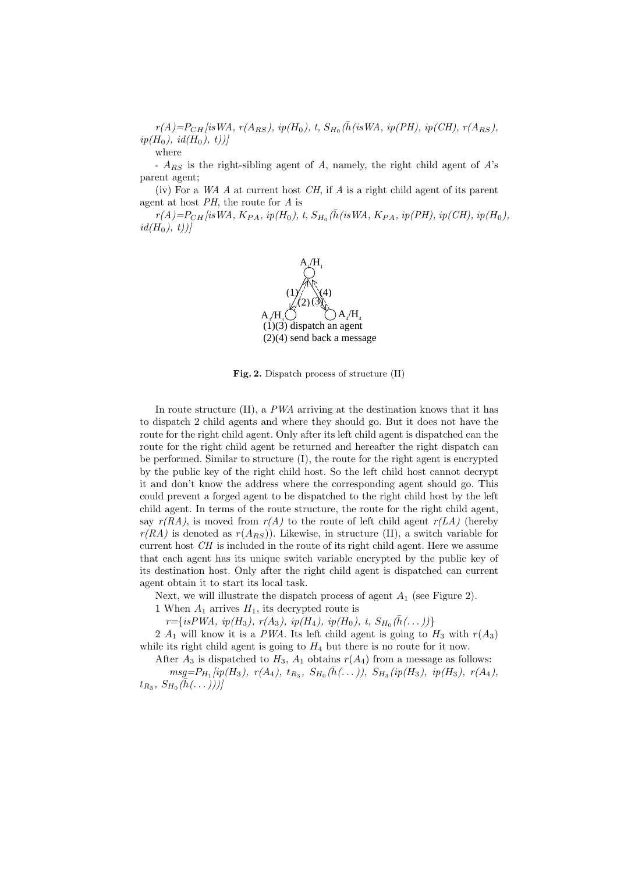$r(A)=P_{CH}$  [is WA,  $r(A_{RS})$ , ip(H<sub>0</sub>), t,  $S_{H_0}(\bar{h}(isWA, ip(PH), ip(CH), r(A_{RS}),$  $ip(H_0), id(H_0), t$ )]

where

-  $A_{RS}$  is the right-sibling agent of A, namely, the right child agent of  $A$ 's parent agent;

(iv) For a WA A at current host CH, if A is a right child agent of its parent agent at host PH, the route for A is

 $r(A)=P_{CH}$  [is WA,  $K_{PA}$ , ip(H<sub>0</sub>), t,  $S_{H_0}(\bar{h}(isWA, K_{PA}, ip(PH), ip(CH), ip(H_0),$  $id(H_0), t))$ 



Fig. 2. Dispatch process of structure (II)

In route structure  $(II)$ , a PWA arriving at the destination knows that it has to dispatch 2 child agents and where they should go. But it does not have the route for the right child agent. Only after its left child agent is dispatched can the route for the right child agent be returned and hereafter the right dispatch can be performed. Similar to structure (I), the route for the right agent is encrypted by the public key of the right child host. So the left child host cannot decrypt it and don't know the address where the corresponding agent should go. This could prevent a forged agent to be dispatched to the right child host by the left child agent. In terms of the route structure, the route for the right child agent, say  $r(RA)$ , is moved from  $r(A)$  to the route of left child agent  $r(LA)$  (hereby  $r(RA)$  is denoted as  $r(A_{RS})$ ). Likewise, in structure (II), a switch variable for current host CH is included in the route of its right child agent. Here we assume that each agent has its unique switch variable encrypted by the public key of its destination host. Only after the right child agent is dispatched can current agent obtain it to start its local task.

Next, we will illustrate the dispatch process of agent  $A_1$  (see Figure 2).

1 When  $A_1$  arrives  $H_1$ , its decrypted route is

 $r = \{ is PWA, ip(H_3), r(A_3), ip(H_4), ip(H_0), t, S_{H_0}(\bar{h}(\dots)) \}$ 

2  $A_1$  will know it is a PWA. Its left child agent is going to  $H_3$  with  $r(A_3)$ while its right child agent is going to  $H_4$  but there is no route for it now.

After  $A_3$  is dispatched to  $H_3$ ,  $A_1$  obtains  $r(A_4)$  from a message as follows:

 $msg=P_{H_1}[ip(H_3), r(A_4), t_{R_3}, S_{H_0}(\bar{h}(\dots)), S_{H_3}(ip(H_3), ip(H_3), r(A_4),$  $t_{R_3},\,S_{H_0}(\bar{\bar{h}}(\dots)))]$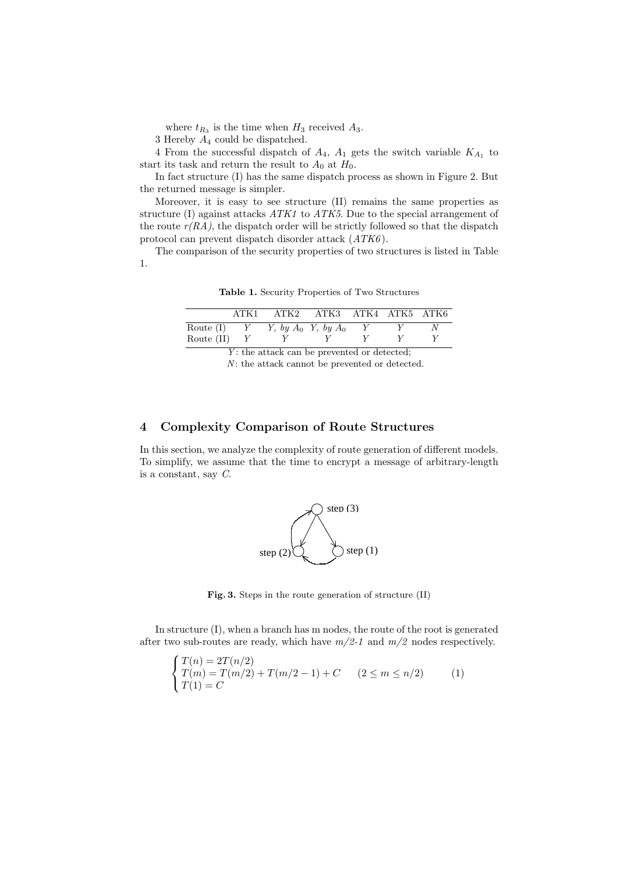where  $t_{R_3}$  is the time when  $H_3$  received  $A_3$ .

3 Hereby  $A_4$  could be dispatched.

4 From the successful dispatch of  $A_4$ ,  $A_1$  gets the switch variable  $K_{A_1}$  to start its task and return the result to  $A_0$  at  $H_0$ .

In fact structure (I) has the same dispatch process as shown in Figure 2. But the returned message is simpler.

Moreover, it is easy to see structure (II) remains the same properties as structure (I) against attacks  $ATK1$  to  $ATK5$ . Due to the special arrangement of the route  $r(RA)$ , the dispatch order will be strictly followed so that the dispatch protocol can prevent dispatch disorder attack (ATK6).

The comparison of the security properties of two structures is listed in Table 1.

| <b>Table 1.</b> Security Properties of Two Structures |  |
|-------------------------------------------------------|--|
|-------------------------------------------------------|--|

|                                             | ATK1        |  | ATK2 ATK3 ATK4 ATK5 ATK6 |  |  |  |
|---------------------------------------------|-------------|--|--------------------------|--|--|--|
| Route $(I)$                                 | $Y$ and $Y$ |  | Y, by $A_0$ Y, by $A_0$  |  |  |  |
| Route $(II)$                                |             |  |                          |  |  |  |
| Y: the attack can be prevented or detected: |             |  |                          |  |  |  |

 $N$ : the attack cannot be prevented or detected.

# 4 Complexity Comparison of Route Structures

In this section, we analyze the complexity of route generation of different models. To simplify, we assume that the time to encrypt a message of arbitrary-length is a constant, say C.



Fig. 3. Steps in the route generation of structure (II)

In structure (I), when a branch has m nodes, the route of the root is generated after two sub-routes are ready, which have  $m/2-1$  and  $m/2$  nodes respectively.

$$
\begin{cases}\nT(n) = 2T(n/2) \\
T(m) = T(m/2) + T(m/2 - 1) + C & (2 \le m \le n/2) \\
T(1) = C\n\end{cases}
$$
\n(1)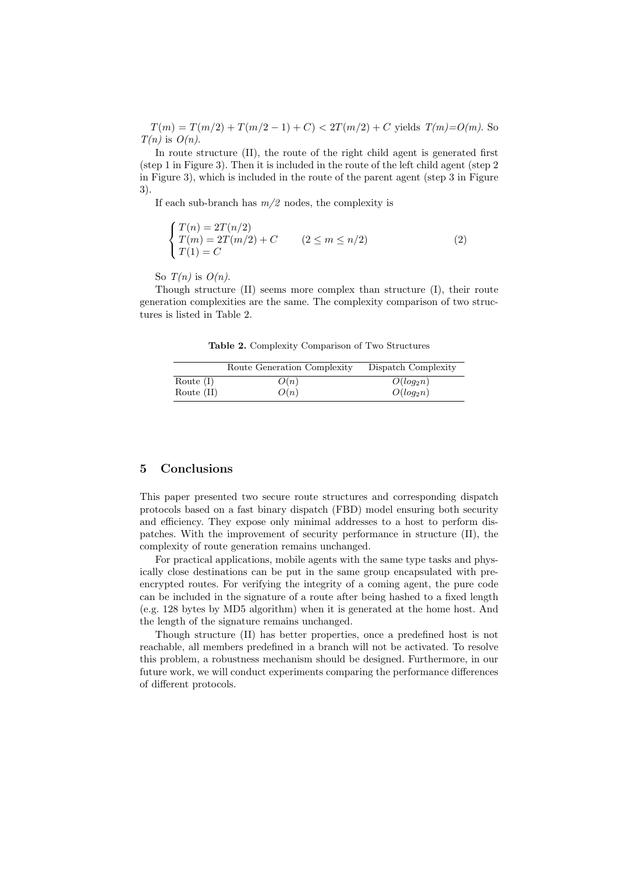$T(m) = T(m/2) + T(m/2 - 1) + C$   $\lt 2T(m/2) + C$  yields  $T(m)=O(m)$ . So  $T(n)$  is  $O(n)$ .

In route structure (II), the route of the right child agent is generated first (step 1 in Figure 3). Then it is included in the route of the left child agent (step 2 in Figure 3), which is included in the route of the parent agent (step 3 in Figure 3).

If each sub-branch has  $m/2$  nodes, the complexity is

$$
\begin{cases}\nT(n) = 2T(n/2) \\
T(m) = 2T(m/2) + C \\
T(1) = C\n\end{cases} \quad (2 \le m \le n/2)
$$
\n(2)

#### So  $T(n)$  is  $O(n)$ .

Though structure (II) seems more complex than structure (I), their route generation complexities are the same. The complexity comparison of two structures is listed in Table 2.

Table 2. Complexity Comparison of Two Structures

|              | Route Generation Complexity | Dispatch Complexity |
|--------------|-----------------------------|---------------------|
| Route $(I)$  | O(n)                        | $O(log_2 n)$        |
| Route $(II)$ | O(n)                        | $O(log_2 n)$        |

#### 5 Conclusions

This paper presented two secure route structures and corresponding dispatch protocols based on a fast binary dispatch (FBD) model ensuring both security and efficiency. They expose only minimal addresses to a host to perform dispatches. With the improvement of security performance in structure (II), the complexity of route generation remains unchanged.

For practical applications, mobile agents with the same type tasks and physically close destinations can be put in the same group encapsulated with preencrypted routes. For verifying the integrity of a coming agent, the pure code can be included in the signature of a route after being hashed to a fixed length (e.g. 128 bytes by MD5 algorithm) when it is generated at the home host. And the length of the signature remains unchanged.

Though structure (II) has better properties, once a predefined host is not reachable, all members predefined in a branch will not be activated. To resolve this problem, a robustness mechanism should be designed. Furthermore, in our future work, we will conduct experiments comparing the performance differences of different protocols.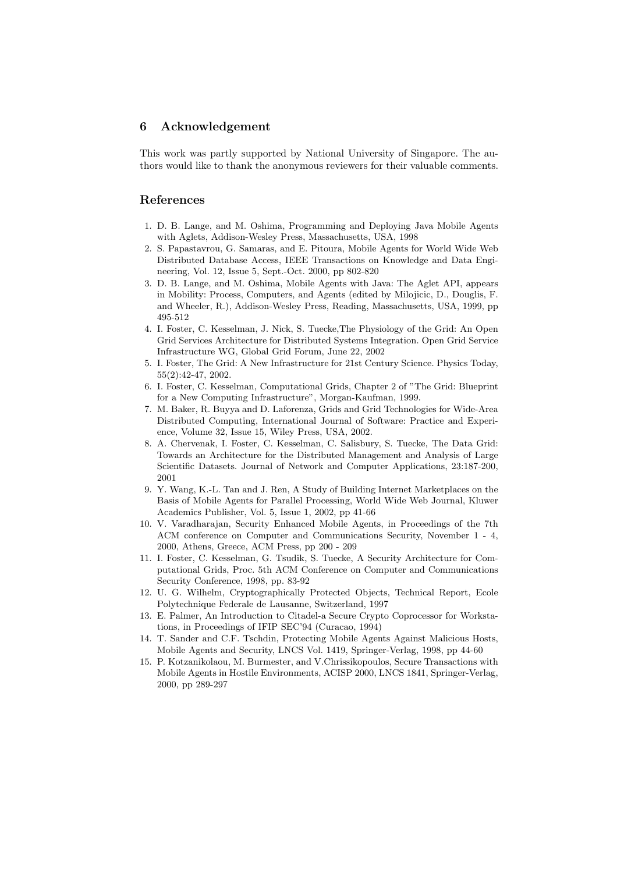## 6 Acknowledgement

This work was partly supported by National University of Singapore. The authors would like to thank the anonymous reviewers for their valuable comments.

## References

- 1. D. B. Lange, and M. Oshima, Programming and Deploying Java Mobile Agents with Aglets, Addison-Wesley Press, Massachusetts, USA, 1998
- 2. S. Papastavrou, G. Samaras, and E. Pitoura, Mobile Agents for World Wide Web Distributed Database Access, IEEE Transactions on Knowledge and Data Engineering, Vol. 12, Issue 5, Sept.-Oct. 2000, pp 802-820
- 3. D. B. Lange, and M. Oshima, Mobile Agents with Java: The Aglet API, appears in Mobility: Process, Computers, and Agents (edited by Milojicic, D., Douglis, F. and Wheeler, R.), Addison-Wesley Press, Reading, Massachusetts, USA, 1999, pp 495-512
- 4. I. Foster, C. Kesselman, J. Nick, S. Tuecke,The Physiology of the Grid: An Open Grid Services Architecture for Distributed Systems Integration. Open Grid Service Infrastructure WG, Global Grid Forum, June 22, 2002
- 5. I. Foster, The Grid: A New Infrastructure for 21st Century Science. Physics Today, 55(2):42-47, 2002.
- 6. I. Foster, C. Kesselman, Computational Grids, Chapter 2 of "The Grid: Blueprint for a New Computing Infrastructure", Morgan-Kaufman, 1999.
- 7. M. Baker, R. Buyya and D. Laforenza, Grids and Grid Technologies for Wide-Area Distributed Computing, International Journal of Software: Practice and Experience, Volume 32, Issue 15, Wiley Press, USA, 2002.
- 8. A. Chervenak, I. Foster, C. Kesselman, C. Salisbury, S. Tuecke, The Data Grid: Towards an Architecture for the Distributed Management and Analysis of Large Scientific Datasets. Journal of Network and Computer Applications, 23:187-200, 2001
- 9. Y. Wang, K.-L. Tan and J. Ren, A Study of Building Internet Marketplaces on the Basis of Mobile Agents for Parallel Processing, World Wide Web Journal, Kluwer Academics Publisher, Vol. 5, Issue 1, 2002, pp 41-66
- 10. V. Varadharajan, Security Enhanced Mobile Agents, in Proceedings of the 7th ACM conference on Computer and Communications Security, November 1 - 4, 2000, Athens, Greece, ACM Press, pp 200 - 209
- 11. I. Foster, C. Kesselman, G. Tsudik, S. Tuecke, A Security Architecture for Computational Grids, Proc. 5th ACM Conference on Computer and Communications Security Conference, 1998, pp. 83-92
- 12. U. G. Wilhelm, Cryptographically Protected Objects, Technical Report, Ecole Polytechnique Federale de Lausanne, Switzerland, 1997
- 13. E. Palmer, An Introduction to Citadel-a Secure Crypto Coprocessor for Workstations, in Proceedings of IFIP SEC'94 (Curacao, 1994)
- 14. T. Sander and C.F. Tschdin, Protecting Mobile Agents Against Malicious Hosts, Mobile Agents and Security, LNCS Vol. 1419, Springer-Verlag, 1998, pp 44-60
- 15. P. Kotzanikolaou, M. Burmester, and V.Chrissikopoulos, Secure Transactions with Mobile Agents in Hostile Environments, ACISP 2000, LNCS 1841, Springer-Verlag, 2000, pp 289-297